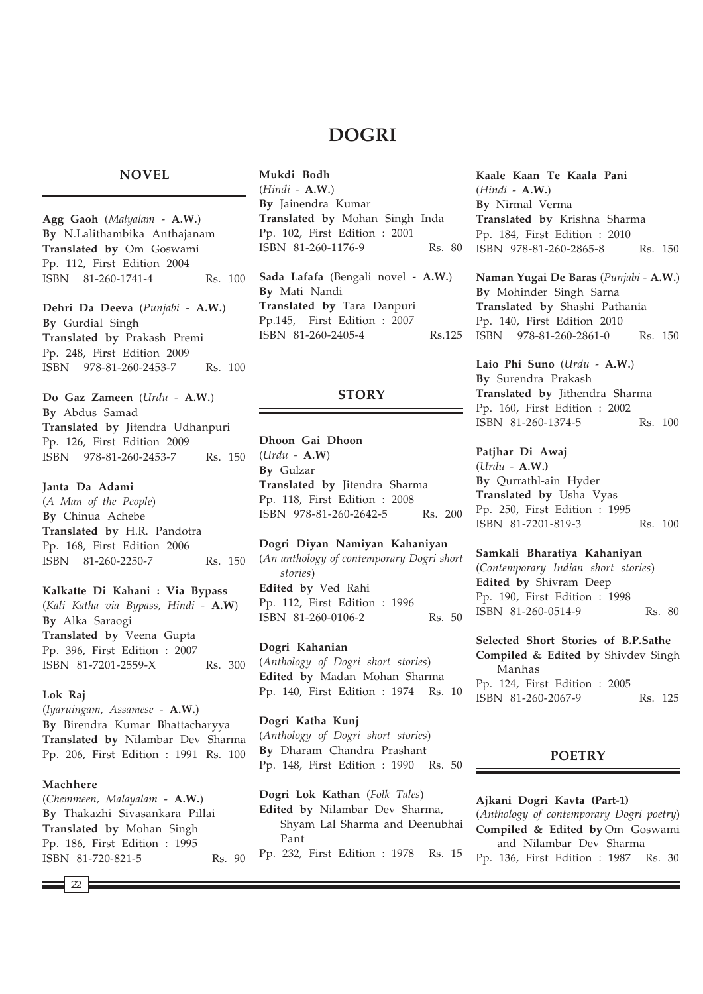# **DOGRI**

### **NOVEL**

**Agg Gaoh** (*Malyalam* - **A.W.**) **By** N.Lalithambika Anthajanam **Translated by** Om Goswami Pp. 112, First Edition 2004 ISBN 81-260-1741-4 Rs. 100 **Dehri Da Deeva** (*Punjabi* - **A.W.**) **By** Gurdial Singh

**Translated by** Prakash Premi Pp. 248, First Edition 2009 ISBN 978-81-260-2453-7 Rs. 100

**Do Gaz Zameen** (*Urdu* - **A.W.**) **By** Abdus Samad **Translated by** Jitendra Udhanpuri Pp. 126, First Edition 2009 ISBN 978-81-260-2453-7 Rs. 150

**Janta Da Adami** (*A Man of the People*) **By** Chinua Achebe **Translated by** H.R. Pandotra Pp. 168, First Edition 2006 ISBN 81-260-2250-7 Rs. 150

**Kalkatte Di Kahani : Via Bypass** (*Kali Katha via Bypass, Hindi -* **A.W**) **By** Alka Saraogi **Translated by** Veena Gupta Pp. 396, First Edition : 2007 ISBN 81-7201-2559-X Rs. 300

### **Lok Raj**

(*Iyaruingam, Assamese* - **A.W.**) **By** Birendra Kumar Bhattacharyya **Translated by** Nilambar Dev Sharma Pp. 206, First Edition : 1991 Rs. 100

### **Machhere**

(*Chemmeen, Malayalam* - **A.W.**) **By** Thakazhi Sivasankara Pillai **Translated by** Mohan Singh Pp. 186, First Edition : 1995 ISBN 81-720-821-5 Rs. 90 **Mukdi Bodh** (*Hindi* - **A.W.**) **By** Jainendra Kumar **Translated by** Mohan Singh Inda Pp. 102, First Edition : 2001 ISBN 81-260-1176-9 Rs. 80 **Sada Lafafa** (Bengali novel **- A.W.**)

**By** Mati Nandi **Translated by** Tara Danpuri Pp.145, First Edition : 2007 ISBN 81-260-2405-4 Rs.125

# **STORY**

**Dhoon Gai Dhoon** (*Urdu -* **A.W**) **By** Gulzar **Translated by** Jitendra Sharma Pp. 118, First Edition : 2008 ISBN 978-81-260-2642-5 Rs. 200

**Dogri Diyan Namiyan Kahaniyan** (*An anthology of contemporary Dogri short stories*) **Edited by** Ved Rahi Pp. 112, First Edition : 1996 ISBN 81-260-0106-2 Rs. 50

**Dogri Kahanian** (*Anthology of Dogri short stories*) **Edited by** Madan Mohan Sharma Pp. 140, First Edition : 1974 Rs. 10

**Dogri Katha Kunj** (*Anthology of Dogri short stories*) **By** Dharam Chandra Prashant Pp. 148, First Edition : 1990 Rs. 50

**Dogri Lok Kathan** (*Folk Tales*) **Edited by** Nilambar Dev Sharma, Shyam Lal Sharma and Deenubhai Pant Pp. 232, First Edition : 1978 Rs. 15 **Kaale Kaan Te Kaala Pani** (*Hindi* - **A.W.**) **By** Nirmal Verma **Translated by** Krishna Sharma Pp. 184, First Edition : 2010 ISBN 978-81-260-2865-8 Rs. 150

**Naman Yugai De Baras** (*Punjabi* - **A.W.**) **By** Mohinder Singh Sarna **Translated by** Shashi Pathania Pp. 140, First Edition 2010 ISBN 978-81-260-2861-0 Rs. 150

**Laio Phi Suno** (*Urdu* - **A.W.**) **By** Surendra Prakash **Translated by** Jithendra Sharma Pp. 160, First Edition : 2002 ISBN 81-260-1374-5 Rs. 100

**Patjhar Di Awaj** (*Urdu* - **A.W.) By** Qurrathl-ain Hyder **Translated by** Usha Vyas Pp. 250, First Edition : 1995 ISBN 81-7201-819-3 Rs. 100

**Samkali Bharatiya Kahaniyan**

(*Contemporary Indian short stories*) **Edited by** Shivram Deep Pp. 190, First Edition : 1998 ISBN 81-260-0514-9 Rs. 80

**Selected Short Stories of B.P.Sathe Compiled & Edited by** Shivdev Singh Manhas Pp. 124, First Edition : 2005 ISBN 81-260-2067-9 Rs. 125

# **POETRY**

**Ajkani Dogri Kavta (Part-1)** (*Anthology of contemporary Dogri poetry*) **Compiled & Edited by** Om Goswami and Nilambar Dev Sharma Pp. 136, First Edition : 1987 Rs. 30

 $\overline{22}$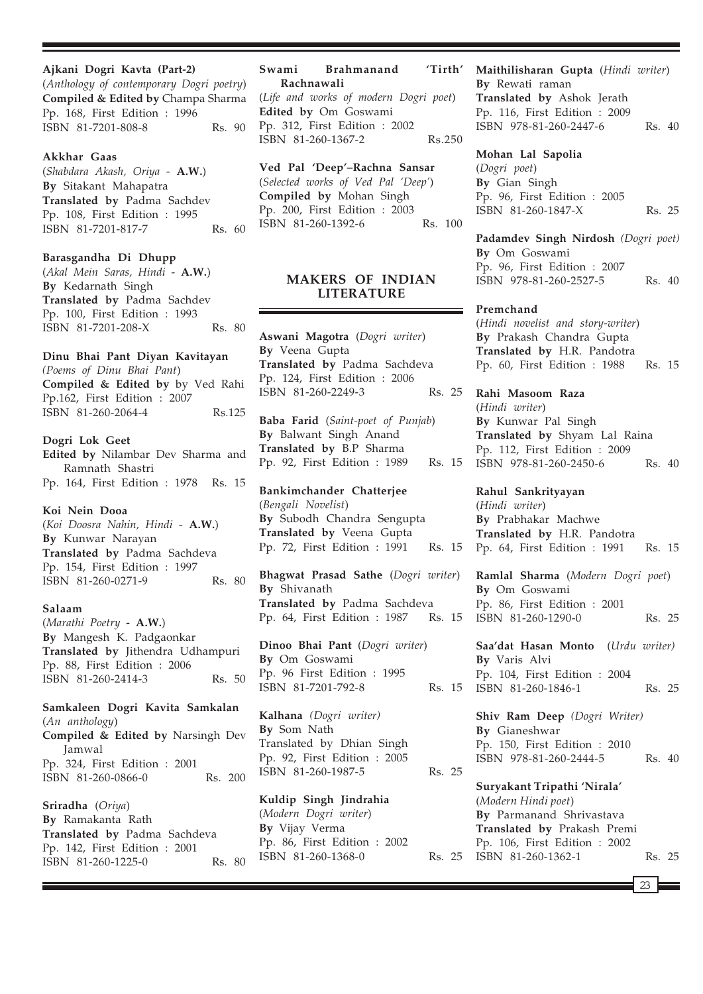**Ajkani Dogri Kavta (Part-2)** (*Anthology of contemporary Dogri poetry*) **Compiled & Edited by** Champa Sharma Pp. 168, First Edition : 1996 ISBN 81-7201-808-8 Rs. 90

### **Akkhar Gaas**

(*Shabdara Akash, Oriya* - **A.W.**) **By** Sitakant Mahapatra **Translated by** Padma Sachdev Pp. 108, First Edition : 1995 ISBN 81-7201-817-7 Rs. 60

### **Barasgandha Di Dhupp**

(*Akal Mein Saras, Hindi* - **A.W.**) **By** Kedarnath Singh **Translated by** Padma Sachdev Pp. 100, First Edition : 1993 ISBN 81-7201-208-X Rs. 80

# **Dinu Bhai Pant Diyan Kavitayan**

*(Poems of Dinu Bhai Pant*) **Compiled & Edited by** by Ved Rahi Pp.162, First Edition : 2007 ISBN 81-260-2064-4 Rs.125

### **Dogri Lok Geet**

**Edited by** Nilambar Dev Sharma and Ramnath Shastri Pp. 164, First Edition : 1978 Rs. 15

# **Koi Nein Dooa**

(*Koi Doosra Nahin, Hindi* - **A.W.**) **By** Kunwar Narayan **Translated by** Padma Sachdeva Pp. 154, First Edition : 1997 ISBN 81-260-0271-9 Rs. 80

### **Salaam**

(*Marathi Poetry* **- A.W.**) **By** Mangesh K. Padgaonkar **Translated by** Jithendra Udhampuri Pp. 88, First Edition : 2006 ISBN 81-260-2414-3 Rs. 50

### **Samkaleen Dogri Kavita Samkalan** (*An anthology*)

**Compiled & Edited by** Narsingh Dev Jamwal Pp. 324, First Edition : 2001 ISBN 81-260-0866-0 Rs. 200

**Sriradha** (*Oriya*) **By** Ramakanta Rath **Translated by** Padma Sachdeva Pp. 142, First Edition : 2001 ISBN 81-260-1225-0 Rs. 80

### **Swami Brahmanand 'Tirth' Rachnawali**

(*Life and works of modern Dogri poet*) **Edited by** Om Goswami Pp. 312, First Edition : 2002 ISBN 81-260-1367-2 Rs.250

# **Ved Pal 'Deep'–Rachna Sansar**

(*Selected works of Ved Pal 'Deep'*) **Compiled by** Mohan Singh Pp. 200, First Edition : 2003 ISBN 81-260-1392-6 Rs. 100

# **MAKERS OF INDIAN LITERATURE**

**Aswani Magotra** (*Dogri writer*) **By** Veena Gupta **Translated by** Padma Sachdeva Pp. 124, First Edition : 2006 ISBN 81-260-2249-3 Rs. 25

**Baba Farid** (*Saint-poet of Punjab*) **By** Balwant Singh Anand **Translated by** B.P Sharma Pp. 92, First Edition : 1989 Rs. 15

# **Bankimchander Chatterjee** (*Bengali Novelist*) **By** Subodh Chandra Sengupta **Translated by** Veena Gupta Pp. 72, First Edition : 1991 Rs. 15

**Bhagwat Prasad Sathe** (*Dogri writer*) **By** Shivanath **Translated by** Padma Sachdeva Pp. 64, First Edition : 1987 Rs. 15

**Dinoo Bhai Pant** (*Dogri writer*) **By** Om Goswami Pp. 96 First Edition : 1995 ISBN 81-7201-792-8 Rs. 15

**Kalhana** *(Dogri writer)* **By** Som Nath Translated by Dhian Singh Pp. 92, First Edition : 2005 ISBN 81-260-1987-5 Rs. 25

# **Kuldip Singh Jindrahia**

(*Modern Dogri writer*) **By** Vijay Verma Pp. 86, First Edition : 2002 ISBN 81-260-1368-0 Rs. 25

# **Maithilisharan Gupta** (*Hindi writer*) **By** Rewati raman **Translated by** Ashok Jerath Pp. 116, First Edition : 2009

ISBN 978-81-260-2447-6 Rs. 40

#### **Mohan Lal Sapolia**

(*Dogri poet*) **By** Gian Singh Pp. 96, First Edition : 2005 ISBN 81-260-1847-X Rs. 25

**Padamdev Singh Nirdosh** *(Dogri poet)* **By** Om Goswami Pp. 96, First Edition : 2007 ISBN 978-81-260-2527-5 Rs. 40

#### **Premchand**

(*Hindi novelist and story-writer*) **By** Prakash Chandra Gupta **Translated by** H.R. Pandotra Pp. 60, First Edition : 1988 Rs. 15

**Rahi Masoom Raza** (*Hindi writer*) **By** Kunwar Pal Singh **Translated by** Shyam Lal Raina Pp. 112, First Edition : 2009 ISBN 978-81-260-2450-6 Rs. 40

**Rahul Sankrityayan** (*Hindi writer*) **By** Prabhakar Machwe **Translated by** H.R. Pandotra Pp. 64, First Edition : 1991 Rs. 15

**Ramlal Sharma** (*Modern Dogri poet*) **By** Om Goswami Pp. 86, First Edition : 2001 ISBN 81-260-1290-0 Rs. 25

**Saa'dat Hasan Monto** (*Urdu writer)* **By** Varis Alvi Pp. 104, First Edition : 2004 ISBN 81-260-1846-1 Rs. 25

**Shiv Ram Deep** *(Dogri Writer)* **By** Gianeshwar Pp. 150, First Edition : 2010 ISBN 978-81-260-2444-5 Rs. 40

**Suryakant Tripathi 'Nirala'** (*Modern Hindi poet*) **By** Parmanand Shrivastava **Translated by** Prakash Premi Pp. 106, First Edition : 2002 ISBN 81-260-1362-1 Rs. 25

23